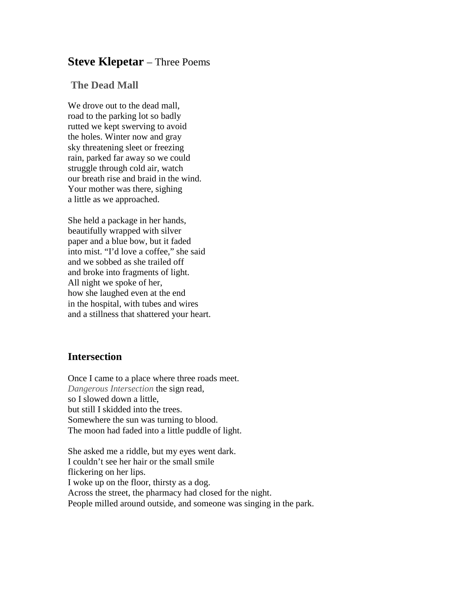## **Steve Klepetar** – Three Poems

## **The Dead Mall**

We drove out to the dead mall. road to the parking lot so badly rutted we kept swerving to avoid the holes. Winter now and gray sky threatening sleet or freezing rain, parked far away so we could struggle through cold air, watch our breath rise and braid in the wind. Your mother was there, sighing a little as we approached.

She held a package in her hands, beautifully wrapped with silver paper and a blue bow, but it faded into mist. "I'd love a coffee," she said and we sobbed as she trailed off and broke into fragments of light. All night we spoke of her, how she laughed even at the end in the hospital, with tubes and wires and a stillness that shattered your heart.

## **Intersection**

Once I came to a place where three roads meet. *Dangerous Intersection* the sign read, so I slowed down a little, but still I skidded into the trees. Somewhere the sun was turning to blood. The moon had faded into a little puddle of light.

She asked me a riddle, but my eyes went dark. I couldn't see her hair or the small smile flickering on her lips. I woke up on the floor, thirsty as a dog. Across the street, the pharmacy had closed for the night. People milled around outside, and someone was singing in the park.